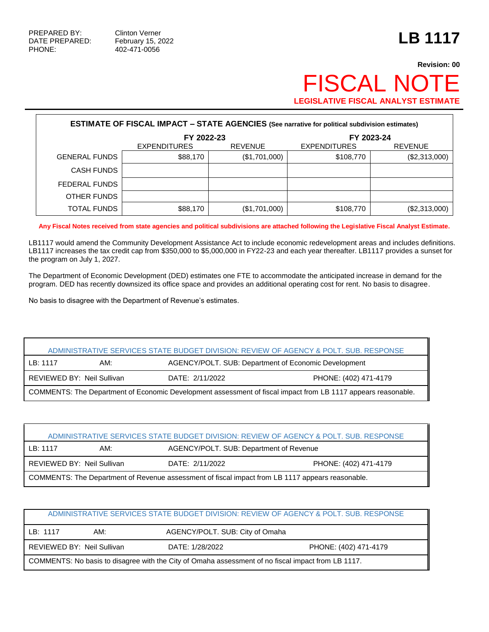PHONE: 402-471-0056

# **Revision: 00** FISCAL NOTE **LEGISLATIVE FISCAL ANALYST ESTIMATE**

| <b>ESTIMATE OF FISCAL IMPACT - STATE AGENCIES (See narrative for political subdivision estimates)</b> |                     |                |                     |                |  |  |
|-------------------------------------------------------------------------------------------------------|---------------------|----------------|---------------------|----------------|--|--|
|                                                                                                       | FY 2022-23          |                | FY 2023-24          |                |  |  |
|                                                                                                       | <b>EXPENDITURES</b> | <b>REVENUE</b> | <b>EXPENDITURES</b> | <b>REVENUE</b> |  |  |
| <b>GENERAL FUNDS</b>                                                                                  | \$88,170            | (\$1,701,000)  | \$108,770           | (\$2,313,000)  |  |  |
| <b>CASH FUNDS</b>                                                                                     |                     |                |                     |                |  |  |
| <b>FEDERAL FUNDS</b>                                                                                  |                     |                |                     |                |  |  |
| OTHER FUNDS                                                                                           |                     |                |                     |                |  |  |
| <b>TOTAL FUNDS</b>                                                                                    | \$88,170            | (\$1,701,000)  | \$108,770           | (\$2,313,000)  |  |  |

**Any Fiscal Notes received from state agencies and political subdivisions are attached following the Legislative Fiscal Analyst Estimate.**

LB1117 would amend the Community Development Assistance Act to include economic redevelopment areas and includes definitions. LB1117 increases the tax credit cap from \$350,000 to \$5,000,000 in FY22-23 and each year thereafter. LB1117 provides a sunset for the program on July 1, 2027.

The Department of Economic Development (DED) estimates one FTE to accommodate the anticipated increase in demand for the program. DED has recently downsized its office space and provides an additional operating cost for rent. No basis to disagree.

No basis to disagree with the Department of Revenue's estimates.

|                                                                                                               |                            |                                                      | ADMINISTRATIVE SERVICES STATE BUDGET DIVISION: REVIEW OF AGENCY & POLT. SUB. RESPONSE |  |
|---------------------------------------------------------------------------------------------------------------|----------------------------|------------------------------------------------------|---------------------------------------------------------------------------------------|--|
| LB: 1117                                                                                                      | AM:                        | AGENCY/POLT. SUB: Department of Economic Development |                                                                                       |  |
|                                                                                                               | REVIEWED BY: Neil Sullivan | DATE: 2/11/2022                                      | PHONE: (402) 471-4179                                                                 |  |
| COMMENTS: The Department of Economic Development assessment of fiscal impact from LB 1117 appears reasonable. |                            |                                                      |                                                                                       |  |

| ADMINISTRATIVE SERVICES STATE BUDGET DIVISION: REVIEW OF AGENCY & POLT. SUB. RESPONSE            |                                                                        |  |  |  |  |
|--------------------------------------------------------------------------------------------------|------------------------------------------------------------------------|--|--|--|--|
| AGENCY/POLT. SUB: Department of Revenue<br>LB: 1117<br>AM:                                       |                                                                        |  |  |  |  |
|                                                                                                  | REVIEWED BY: Neil Sullivan<br>DATE: 2/11/2022<br>PHONE: (402) 471-4179 |  |  |  |  |
| COMMENTS: The Department of Revenue assessment of fiscal impact from LB 1117 appears reasonable. |                                                                        |  |  |  |  |

|                                                                                                    |                            |                                 | ADMINISTRATIVE SERVICES STATE BUDGET DIVISION: REVIEW OF AGENCY & POLT. SUB. RESPONSE |  |
|----------------------------------------------------------------------------------------------------|----------------------------|---------------------------------|---------------------------------------------------------------------------------------|--|
| LB: 1117                                                                                           | AM:                        | AGENCY/POLT. SUB: City of Omaha |                                                                                       |  |
|                                                                                                    | REVIEWED BY: Neil Sullivan | DATE: 1/28/2022                 | PHONE: (402) 471-4179                                                                 |  |
| COMMENTS: No basis to disagree with the City of Omaha assessment of no fiscal impact from LB 1117. |                            |                                 |                                                                                       |  |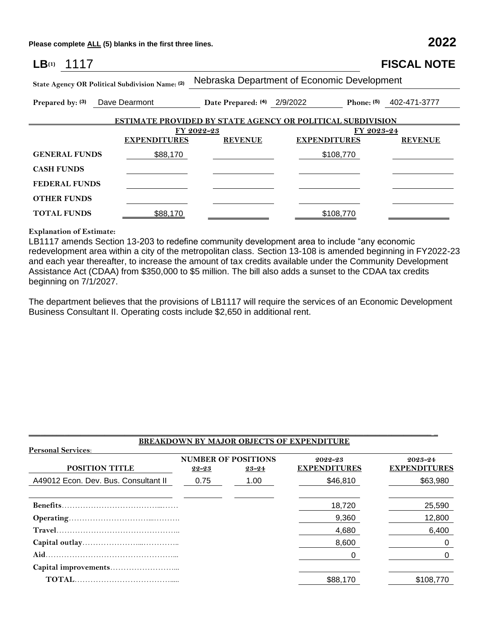**Please complete ALL (5) blanks in the first three lines. 2022**

| LB(1)<br>1117                                   |                     |                                                                   |                                             |            | <b>FISCAL NOTE</b>      |  |  |
|-------------------------------------------------|---------------------|-------------------------------------------------------------------|---------------------------------------------|------------|-------------------------|--|--|
| State Agency OR Political Subdivision Name: (2) |                     |                                                                   | Nebraska Department of Economic Development |            |                         |  |  |
| Prepared by: (3)                                | Dave Dearmont       | Date Prepared: (4) 2/9/2022                                       |                                             |            | Phone: (5) 402-471-3777 |  |  |
|                                                 |                     | <b>ESTIMATE PROVIDED BY STATE AGENCY OR POLITICAL SUBDIVISION</b> |                                             |            |                         |  |  |
|                                                 |                     | FY 2022-23                                                        |                                             | FY 2023-24 |                         |  |  |
|                                                 | <b>EXPENDITURES</b> | <b>REVENUE</b>                                                    | <b>EXPENDITURES</b>                         |            | <b>REVENUE</b>          |  |  |
| <b>GENERAL FUNDS</b>                            | \$88,170            |                                                                   | \$108,770                                   |            |                         |  |  |
| <b>CASH FUNDS</b>                               |                     |                                                                   |                                             |            |                         |  |  |
| <b>FEDERAL FUNDS</b>                            |                     |                                                                   |                                             |            |                         |  |  |
| <b>OTHER FUNDS</b>                              |                     |                                                                   |                                             |            |                         |  |  |
| <b>TOTAL FUNDS</b>                              | \$88,170            |                                                                   | \$108,770                                   |            |                         |  |  |
|                                                 |                     |                                                                   |                                             |            |                         |  |  |

### **Explanation of Estimate:**

LB1117 amends Section 13-203 to redefine community development area to include "any economic redevelopment area within a city of the metropolitan class. Section 13-108 is amended beginning in FY2022-23 and each year thereafter, to increase the amount of tax credits available under the Community Development Assistance Act (CDAA) from \$350,000 to \$5 million. The bill also adds a sunset to the CDAA tax credits beginning on 7/1/2027.

The department believes that the provisions of LB1117 will require the services of an Economic Development Business Consultant II. Operating costs include \$2,650 in additional rent.

|                                      |       |                                     | <b>BREAKDOWN BY MAJOR OBJECTS OF EXPENDITURE</b> |                                |
|--------------------------------------|-------|-------------------------------------|--------------------------------------------------|--------------------------------|
| <b>Personal Services:</b>            |       |                                     |                                                  |                                |
| <b>POSITION TITLE</b>                | 22-23 | <b>NUMBER OF POSITIONS</b><br>23-24 | 2022-23<br><b>EXPENDITURES</b>                   | 2023-24<br><b>EXPENDITURES</b> |
| A49012 Econ. Dev. Bus. Consultant II | 0.75  | 1.00                                | \$46,810                                         | \$63,980                       |
|                                      |       |                                     | 18,720                                           | 25,590                         |
|                                      |       |                                     | 9,360                                            | 12,800                         |
|                                      |       |                                     | 4,680                                            | 6,400                          |
|                                      |       |                                     | 8.600                                            | 0                              |
|                                      |       |                                     |                                                  | 0                              |
|                                      |       |                                     |                                                  |                                |
|                                      |       |                                     | \$88,170                                         | \$108.770                      |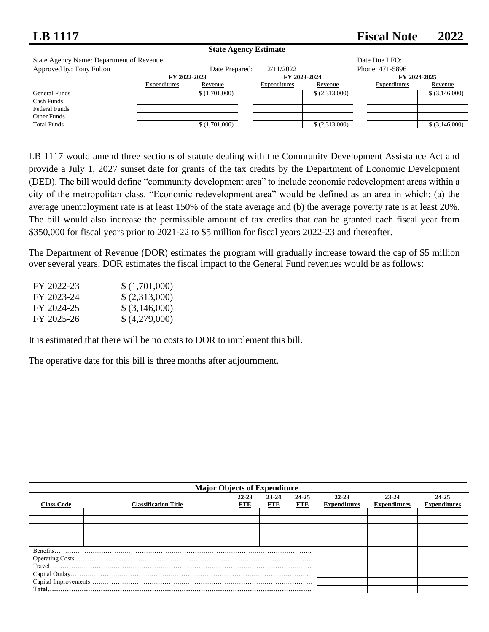## **LB 1117 Fiscal Note 2022**

| <b>State Agency Estimate</b>             |              |                |              |                |                 |                 |
|------------------------------------------|--------------|----------------|--------------|----------------|-----------------|-----------------|
| State Agency Name: Department of Revenue |              |                |              |                | Date Due LFO:   |                 |
| Approved by: Tony Fulton                 |              | Date Prepared: | 2/11/2022    |                | Phone: 471-5896 |                 |
|                                          | FY 2022-2023 |                | FY 2023-2024 |                | FY 2024-2025    |                 |
|                                          | Expenditures | Revenue        | Expenditures | Revenue        | Expenditures    | Revenue         |
| General Funds                            |              | \$(1,701,000)  |              | \$ (2,313,000) |                 | $$$ (3,146,000) |
| Cash Funds                               |              |                |              |                |                 |                 |
| <b>Federal Funds</b>                     |              |                |              |                |                 |                 |
| Other Funds                              |              |                |              |                |                 |                 |
| <b>Total Funds</b>                       |              | \$(1,701,000)  |              | (2,313,000)    |                 | $$$ (3,146,000) |
|                                          |              |                |              |                |                 |                 |

LB 1117 would amend three sections of statute dealing with the Community Development Assistance Act and provide a July 1, 2027 sunset date for grants of the tax credits by the Department of Economic Development (DED). The bill would define "community development area" to include economic redevelopment areas within a city of the metropolitan class. "Economic redevelopment area" would be defined as an area in which: (a) the average unemployment rate is at least 150% of the state average and (b) the average poverty rate is at least 20%. The bill would also increase the permissible amount of tax credits that can be granted each fiscal year from \$350,000 for fiscal years prior to 2021-22 to \$5 million for fiscal years 2022-23 and thereafter.

The Department of Revenue (DOR) estimates the program will gradually increase toward the cap of \$5 million over several years. DOR estimates the fiscal impact to the General Fund revenues would be as follows:

| FY 2022-23 | \$(1,701,000)   |
|------------|-----------------|
| FY 2023-24 | \$(2,313,000)   |
| FY 2024-25 | $$$ (3,146,000) |
| FY 2025-26 | \$(4,279,000)   |

It is estimated that there will be no costs to DOR to implement this bill.

The operative date for this bill is three months after adjournment.

| <b>Major Objects of Expenditure</b> |                                                                                                                                                                                                                                                                                                                                                                                                                                                                                                                          |                         |                     |                     |                                  |                                  |                              |
|-------------------------------------|--------------------------------------------------------------------------------------------------------------------------------------------------------------------------------------------------------------------------------------------------------------------------------------------------------------------------------------------------------------------------------------------------------------------------------------------------------------------------------------------------------------------------|-------------------------|---------------------|---------------------|----------------------------------|----------------------------------|------------------------------|
| <b>Class Code</b>                   | <b>Classification Title</b>                                                                                                                                                                                                                                                                                                                                                                                                                                                                                              | $22 - 23$<br><b>FTE</b> | 23-24<br><b>FTE</b> | 24-25<br><b>FTE</b> | $22 - 23$<br><b>Expenditures</b> | $23 - 24$<br><b>Expenditures</b> | 24-25<br><b>Expenditures</b> |
|                                     |                                                                                                                                                                                                                                                                                                                                                                                                                                                                                                                          |                         |                     |                     |                                  |                                  |                              |
|                                     |                                                                                                                                                                                                                                                                                                                                                                                                                                                                                                                          |                         |                     |                     |                                  |                                  |                              |
|                                     |                                                                                                                                                                                                                                                                                                                                                                                                                                                                                                                          |                         |                     |                     |                                  |                                  |                              |
|                                     |                                                                                                                                                                                                                                                                                                                                                                                                                                                                                                                          |                         |                     |                     |                                  |                                  |                              |
| Benefits                            |                                                                                                                                                                                                                                                                                                                                                                                                                                                                                                                          |                         |                     |                     |                                  |                                  |                              |
|                                     |                                                                                                                                                                                                                                                                                                                                                                                                                                                                                                                          |                         |                     |                     |                                  |                                  |                              |
|                                     | $\begin{minipage}[c]{0.9\linewidth} \textbf{True} \end{minipage} \begin{minipage}[c]{0.9\linewidth} \textbf{True} \end{minipage} \begin{minipage}[c]{0.9\linewidth} \textbf{True} \end{minipage} \begin{minipage}[c]{0.9\linewidth} \textbf{True} \end{minipage} \begin{minipage}[c]{0.9\linewidth} \textbf{True} \end{minipage} \begin{minipage}[c]{0.9\linewidth} \textbf{True} \end{minipage} \begin{minipage}[c]{0.9\linewidth} \textbf{True} \end{minipage} \begin{minipage}[c]{0.9\linewidth} \textbf{True} \end{$ |                         |                     |                     |                                  |                                  |                              |
|                                     |                                                                                                                                                                                                                                                                                                                                                                                                                                                                                                                          |                         |                     |                     |                                  |                                  |                              |
|                                     |                                                                                                                                                                                                                                                                                                                                                                                                                                                                                                                          |                         |                     |                     |                                  |                                  |                              |
| <b>Total</b>                        |                                                                                                                                                                                                                                                                                                                                                                                                                                                                                                                          |                         |                     |                     |                                  |                                  |                              |